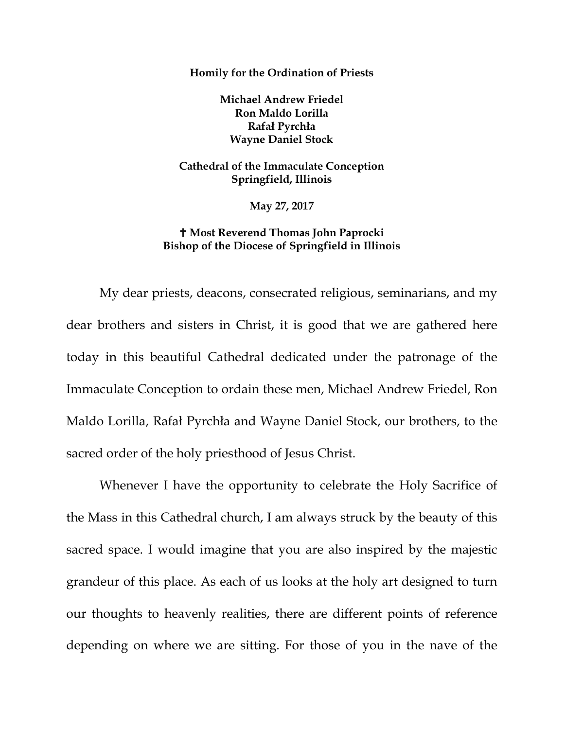**Homily for the Ordination of Priests**

**Michael Andrew Friedel Ron Maldo Lorilla Rafał Pyrchła Wayne Daniel Stock**

**Cathedral of the Immaculate Conception Springfield, Illinois**

**May 27, 2017**

## **Most Reverend Thomas John Paprocki Bishop of the Diocese of Springfield in Illinois**

My dear priests, deacons, consecrated religious, seminarians, and my dear brothers and sisters in Christ, it is good that we are gathered here today in this beautiful Cathedral dedicated under the patronage of the Immaculate Conception to ordain these men, Michael Andrew Friedel, Ron Maldo Lorilla, Rafał Pyrchła and Wayne Daniel Stock, our brothers, to the sacred order of the holy priesthood of Jesus Christ.

Whenever I have the opportunity to celebrate the Holy Sacrifice of the Mass in this Cathedral church, I am always struck by the beauty of this sacred space. I would imagine that you are also inspired by the majestic grandeur of this place. As each of us looks at the holy art designed to turn our thoughts to heavenly realities, there are different points of reference depending on where we are sitting. For those of you in the nave of the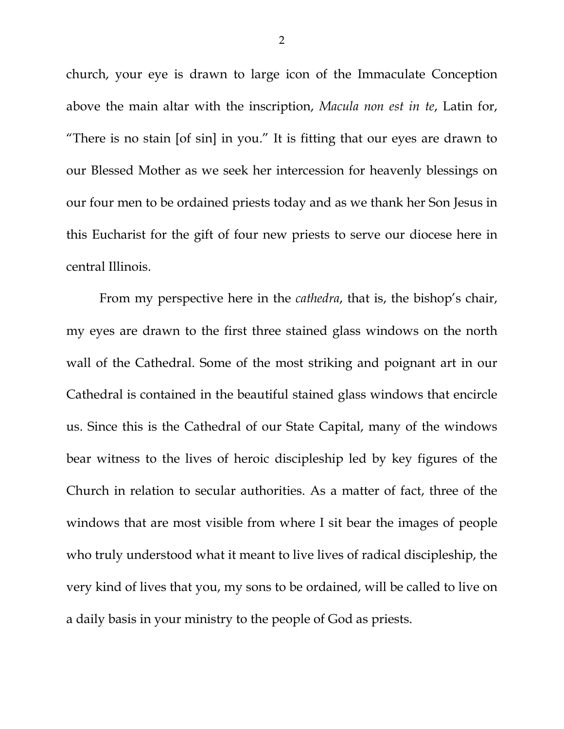church, your eye is drawn to large icon of the Immaculate Conception above the main altar with the inscription, *Macula non est in te*, Latin for, "There is no stain [of sin] in you." It is fitting that our eyes are drawn to our Blessed Mother as we seek her intercession for heavenly blessings on our four men to be ordained priests today and as we thank her Son Jesus in this Eucharist for the gift of four new priests to serve our diocese here in central Illinois.

From my perspective here in the *cathedra*, that is, the bishop's chair, my eyes are drawn to the first three stained glass windows on the north wall of the Cathedral. Some of the most striking and poignant art in our Cathedral is contained in the beautiful stained glass windows that encircle us. Since this is the Cathedral of our State Capital, many of the windows bear witness to the lives of heroic discipleship led by key figures of the Church in relation to secular authorities. As a matter of fact, three of the windows that are most visible from where I sit bear the images of people who truly understood what it meant to live lives of radical discipleship, the very kind of lives that you, my sons to be ordained, will be called to live on a daily basis in your ministry to the people of God as priests.

2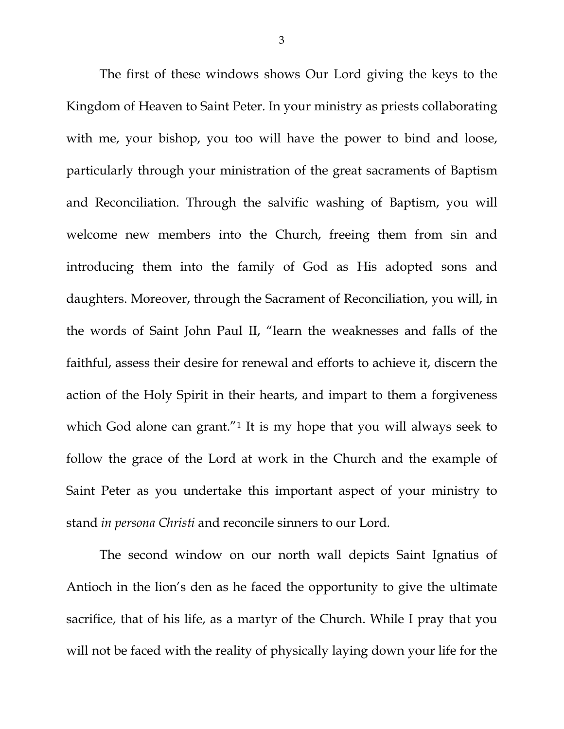The first of these windows shows Our Lord giving the keys to the Kingdom of Heaven to Saint Peter. In your ministry as priests collaborating with me, your bishop, you too will have the power to bind and loose, particularly through your ministration of the great sacraments of Baptism and Reconciliation. Through the salvific washing of Baptism, you will welcome new members into the Church, freeing them from sin and introducing them into the family of God as His adopted sons and daughters. Moreover, through the Sacrament of Reconciliation, you will, in the words of Saint John Paul II, "learn the weaknesses and falls of the faithful, assess their desire for renewal and efforts to achieve it, discern the action of the Holy Spirit in their hearts, and impart to them a forgiveness which God alone can grant."<sup>[1](#page-5-0)</sup> It is my hope that you will always seek to follow the grace of the Lord at work in the Church and the example of Saint Peter as you undertake this important aspect of your ministry to stand *in persona Christi* and reconcile sinners to our Lord.

The second window on our north wall depicts Saint Ignatius of Antioch in the lion's den as he faced the opportunity to give the ultimate sacrifice, that of his life, as a martyr of the Church. While I pray that you will not be faced with the reality of physically laying down your life for the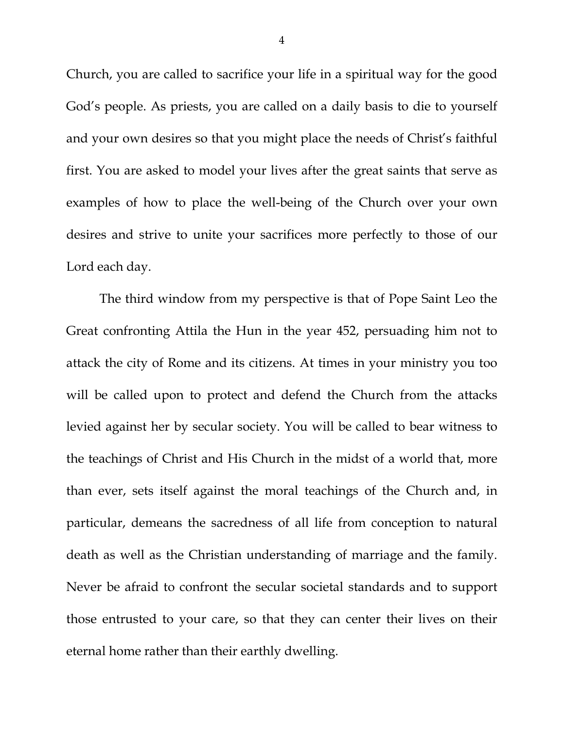Church, you are called to sacrifice your life in a spiritual way for the good God's people. As priests, you are called on a daily basis to die to yourself and your own desires so that you might place the needs of Christ's faithful first. You are asked to model your lives after the great saints that serve as examples of how to place the well-being of the Church over your own desires and strive to unite your sacrifices more perfectly to those of our Lord each day.

The third window from my perspective is that of Pope Saint Leo the Great confronting Attila the Hun in the year 452, persuading him not to attack the city of Rome and its citizens. At times in your ministry you too will be called upon to protect and defend the Church from the attacks levied against her by secular society. You will be called to bear witness to the teachings of Christ and His Church in the midst of a world that, more than ever, sets itself against the moral teachings of the Church and, in particular, demeans the sacredness of all life from conception to natural death as well as the Christian understanding of marriage and the family. Never be afraid to confront the secular societal standards and to support those entrusted to your care, so that they can center their lives on their eternal home rather than their earthly dwelling.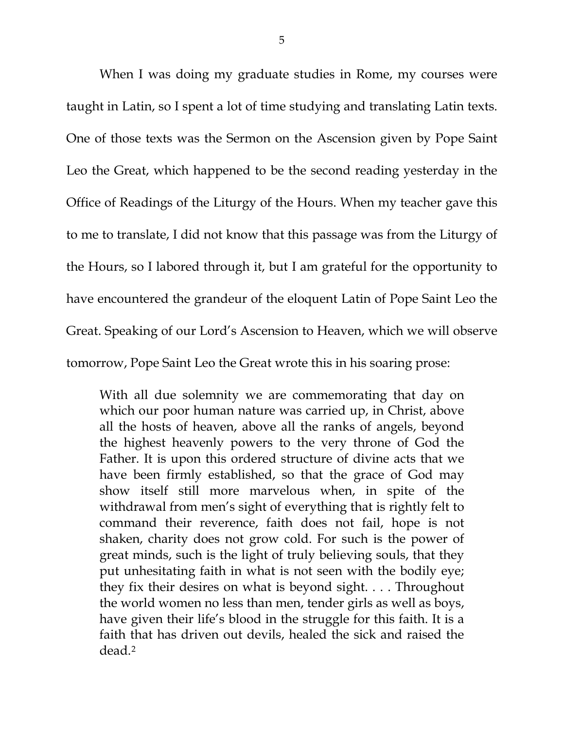When I was doing my graduate studies in Rome, my courses were taught in Latin, so I spent a lot of time studying and translating Latin texts. One of those texts was the Sermon on the Ascension given by Pope Saint Leo the Great, which happened to be the second reading yesterday in the Office of Readings of the Liturgy of the Hours. When my teacher gave this to me to translate, I did not know that this passage was from the Liturgy of the Hours, so I labored through it, but I am grateful for the opportunity to have encountered the grandeur of the eloquent Latin of Pope Saint Leo the Great. Speaking of our Lord's Ascension to Heaven, which we will observe tomorrow, Pope Saint Leo the Great wrote this in his soaring prose:

With all due solemnity we are commemorating that day on which our poor human nature was carried up, in Christ, above all the hosts of heaven, above all the ranks of angels, beyond the highest heavenly powers to the very throne of God the Father. It is upon this ordered structure of divine acts that we have been firmly established, so that the grace of God may show itself still more marvelous when, in spite of the withdrawal from men's sight of everything that is rightly felt to command their reverence, faith does not fail, hope is not shaken, charity does not grow cold. For such is the power of great minds, such is the light of truly believing souls, that they put unhesitating faith in what is not seen with the bodily eye; they fix their desires on what is beyond sight. . . . Throughout the world women no less than men, tender girls as well as boys, have given their life's blood in the struggle for this faith. It is a faith that has driven out devils, healed the sick and raised the dead.[2](#page-5-1)